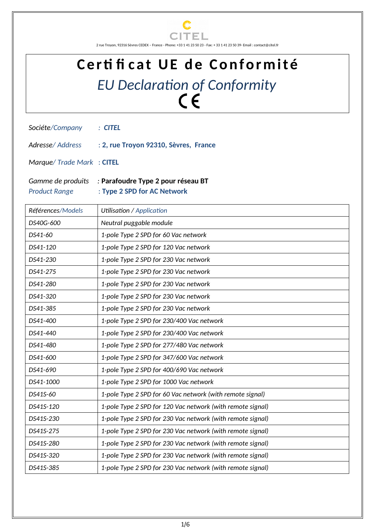

2 rue Troyon, 92316 Sèvres CEDEX – France - Phone: +33 1 41 23 50 23 - Fax: + 33 1 41 23 50 39- Email : contact@citel.fr

## Certi fi cat UE de Conformité *EU Declaration of Conformity*

| Sociéte/Company |  | : CITEL |
|-----------------|--|---------|
|-----------------|--|---------|

*Adresse/ Address* : **2, rue Troyon 92310, Sèvres, France**

*Marque/ Trade Mark* : **CITEL**

|                      | Gamme de produits : Parafoudre Type 2 pour réseau BT |
|----------------------|------------------------------------------------------|
| <b>Product Range</b> | : Type 2 SPD for AC Network                          |

| Références/Models | Utilisation / Application                                  |
|-------------------|------------------------------------------------------------|
| DS40G-600         | Neutral puggable module                                    |
| DS41-60           | 1-pole Type 2 SPD for 60 Vac network                       |
| DS41-120          | 1-pole Type 2 SPD for 120 Vac network                      |
| DS41-230          | 1-pole Type 2 SPD for 230 Vac network                      |
| DS41-275          | 1-pole Type 2 SPD for 230 Vac network                      |
| DS41-280          | 1-pole Type 2 SPD for 230 Vac network                      |
| DS41-320          | 1-pole Type 2 SPD for 230 Vac network                      |
| DS41-385          | 1-pole Type 2 SPD for 230 Vac network                      |
| DS41-400          | 1-pole Type 2 SPD for 230/400 Vac network                  |
| DS41-440          | 1-pole Type 2 SPD for 230/400 Vac network                  |
| DS41-480          | 1-pole Type 2 SPD for 277/480 Vac network                  |
| DS41-600          | 1-pole Type 2 SPD for 347/600 Vac network                  |
| DS41-690          | 1-pole Type 2 SPD for 400/690 Vac network                  |
| DS41-1000         | 1-pole Type 2 SPD for 1000 Vac network                     |
| DS41S-60          | 1-pole Type 2 SPD for 60 Vac network (with remote signal)  |
| DS41S-120         | 1-pole Type 2 SPD for 120 Vac network (with remote signal) |
| DS41S-230         | 1-pole Type 2 SPD for 230 Vac network (with remote signal) |
| DS41S-275         | 1-pole Type 2 SPD for 230 Vac network (with remote signal) |
| DS41S-280         | 1-pole Type 2 SPD for 230 Vac network (with remote signal) |
| DS41S-320         | 1-pole Type 2 SPD for 230 Vac network (with remote signal) |
| DS41S-385         | 1-pole Type 2 SPD for 230 Vac network (with remote signal) |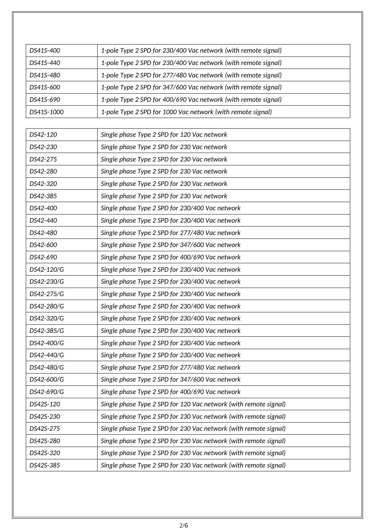| DS41S-400  | 1-pole Type 2 SPD for 230/400 Vac network (with remote signal) |
|------------|----------------------------------------------------------------|
| DS41S-440  | 1-pole Type 2 SPD for 230/400 Vac network (with remote signal) |
| DS41S-480  | 1-pole Type 2 SPD for 277/480 Vac network (with remote signal) |
| DS41S-600  | 1-pole Type 2 SPD for 347/600 Vac network (with remote signal) |
| DS41S-690  | 1-pole Type 2 SPD for 400/690 Vac network (with remote signal) |
| DS41S-1000 | 1-pole Type 2 SPD for 1000 Vac network (with remote signal)    |

| DS42-120   | Single phase Type 2 SPD for 120 Vac network                      |
|------------|------------------------------------------------------------------|
| DS42-230   | Single phase Type 2 SPD for 230 Vac network                      |
| DS42-275   | Single phase Type 2 SPD for 230 Vac network                      |
| DS42-280   | Single phase Type 2 SPD for 230 Vac network                      |
| DS42-320   | Single phase Type 2 SPD for 230 Vac network                      |
| DS42-385   | Single phase Type 2 SPD for 230 Vac network                      |
| DS42-400   | Single phase Type 2 SPD for 230/400 Vac network                  |
| DS42-440   | Single phase Type 2 SPD for 230/400 Vac network                  |
| DS42-480   | Single phase Type 2 SPD for 277/480 Vac network                  |
| DS42-600   | Single phase Type 2 SPD for 347/600 Vac network                  |
| DS42-690   | Single phase Type 2 SPD for 400/690 Vac network                  |
| DS42-120/G | Single phase Type 2 SPD for 230/400 Vac network                  |
| DS42-230/G | Single phase Type 2 SPD for 230/400 Vac network                  |
| DS42-275/G | Single phase Type 2 SPD for 230/400 Vac network                  |
| DS42-280/G | Single phase Type 2 SPD for 230/400 Vac network                  |
| DS42-320/G | Single phase Type 2 SPD for 230/400 Vac network                  |
| DS42-385/G | Single phase Type 2 SPD for 230/400 Vac network                  |
| DS42-400/G | Single phase Type 2 SPD for 230/400 Vac network                  |
| DS42-440/G | Single phase Type 2 SPD for 230/400 Vac network                  |
| DS42-480/G | Single phase Type 2 SPD for 277/480 Vac network                  |
| DS42-600/G | Single phase Type 2 SPD for 347/600 Vac network                  |
| DS42-690/G | Single phase Type 2 SPD for 400/690 Vac network                  |
| DS42S-120  | Single phase Type 2 SPD for 120 Vac network (with remote signal) |
| DS42S-230  | Single phase Type 2 SPD for 230 Vac network (with remote signal) |
| DS42S-275  | Single phase Type 2 SPD for 230 Vac network (with remote signal) |
| DS42S-280  | Single phase Type 2 SPD for 230 Vac network (with remote signal) |
| DS42S-320  | Single phase Type 2 SPD for 230 Vac network (with remote signal) |
| DS42S-385  | Single phase Type 2 SPD for 230 Vac network (with remote signal) |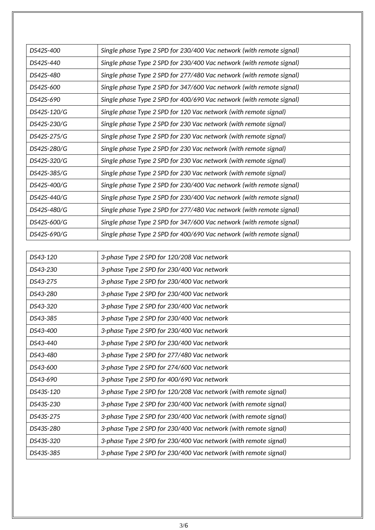| DS42S-400   | Single phase Type 2 SPD for 230/400 Vac network (with remote signal) |
|-------------|----------------------------------------------------------------------|
| DS42S-440   | Single phase Type 2 SPD for 230/400 Vac network (with remote signal) |
| DS42S-480   | Single phase Type 2 SPD for 277/480 Vac network (with remote signal) |
| DS42S-600   | Single phase Type 2 SPD for 347/600 Vac network (with remote signal) |
| DS42S-690   | Single phase Type 2 SPD for 400/690 Vac network (with remote signal) |
| DS42S-120/G | Single phase Type 2 SPD for 120 Vac network (with remote signal)     |
| DS42S-230/G | Single phase Type 2 SPD for 230 Vac network (with remote signal)     |
| DS42S-275/G | Single phase Type 2 SPD for 230 Vac network (with remote signal)     |
| DS42S-280/G | Single phase Type 2 SPD for 230 Vac network (with remote signal)     |
| DS42S-320/G | Single phase Type 2 SPD for 230 Vac network (with remote signal)     |
| DS42S-385/G | Single phase Type 2 SPD for 230 Vac network (with remote signal)     |
| DS42S-400/G | Single phase Type 2 SPD for 230/400 Vac network (with remote signal) |
| DS42S-440/G | Single phase Type 2 SPD for 230/400 Vac network (with remote signal) |
| DS42S-480/G | Single phase Type 2 SPD for 277/480 Vac network (with remote signal) |
| DS42S-600/G | Single phase Type 2 SPD for 347/600 Vac network (with remote signal) |
| DS42S-690/G | Single phase Type 2 SPD for 400/690 Vac network (with remote signal) |

| DS43-120  | 3-phase Type 2 SPD for 120/208 Vac network                      |
|-----------|-----------------------------------------------------------------|
| DS43-230  | 3-phase Type 2 SPD for 230/400 Vac network                      |
| DS43-275  | 3-phase Type 2 SPD for 230/400 Vac network                      |
| DS43-280  | 3-phase Type 2 SPD for 230/400 Vac network                      |
| DS43-320  | 3-phase Type 2 SPD for 230/400 Vac network                      |
| DS43-385  | 3-phase Type 2 SPD for 230/400 Vac network                      |
| DS43-400  | 3-phase Type 2 SPD for 230/400 Vac network                      |
| DS43-440  | 3-phase Type 2 SPD for 230/400 Vac network                      |
| DS43-480  | 3-phase Type 2 SPD for 277/480 Vac network                      |
| DS43-600  | 3-phase Type 2 SPD for 274/600 Vac network                      |
| DS43-690  | 3-phase Type 2 SPD for 400/690 Vac network                      |
| DS43S-120 | 3-phase Type 2 SPD for 120/208 Vac network (with remote signal) |
| DS43S-230 | 3-phase Type 2 SPD for 230/400 Vac network (with remote signal) |
| DS43S-275 | 3-phase Type 2 SPD for 230/400 Vac network (with remote signal) |
| DS43S-280 | 3-phase Type 2 SPD for 230/400 Vac network (with remote signal) |
| DS43S-320 | 3-phase Type 2 SPD for 230/400 Vac network (with remote signal) |
| DS43S-385 | 3-phase Type 2 SPD for 230/400 Vac network (with remote signal) |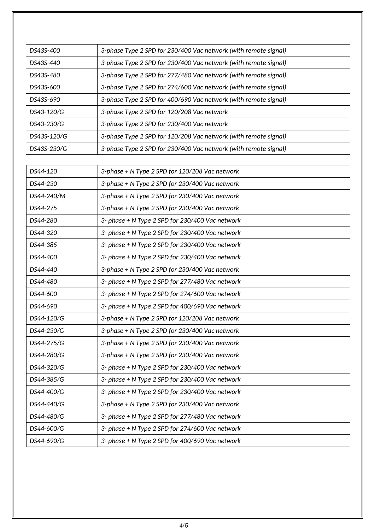| DS43S-400   | 3-phase Type 2 SPD for 230/400 Vac network (with remote signal) |
|-------------|-----------------------------------------------------------------|
| DS43S-440   | 3-phase Type 2 SPD for 230/400 Vac network (with remote signal) |
| DS43S-480   | 3-phase Type 2 SPD for 277/480 Vac network (with remote signal) |
| DS43S-600   | 3-phase Type 2 SPD for 274/600 Vac network (with remote signal) |
| DS43S-690   | 3-phase Type 2 SPD for 400/690 Vac network (with remote signal) |
| DS43-120/G  | 3-phase Type 2 SPD for 120/208 Vac network                      |
| DS43-230/G  | 3-phase Type 2 SPD for 230/400 Vac network                      |
| DS43S-120/G | 3-phase Type 2 SPD for 120/208 Vac network (with remote signal) |
| DS43S-230/G | 3-phase Type 2 SPD for 230/400 Vac network (with remote signal) |

| 3-phase + N Type 2 SPD for 120/208 Vac network  |
|-------------------------------------------------|
| 3-phase + N Type 2 SPD for 230/400 Vac network  |
| 3-phase + N Type 2 SPD for 230/400 Vac network  |
| 3-phase + N Type 2 SPD for 230/400 Vac network  |
| 3- phase + N Type 2 SPD for 230/400 Vac network |
| 3- phase + N Type 2 SPD for 230/400 Vac network |
| 3- phase + N Type 2 SPD for 230/400 Vac network |
| 3- phase + N Type 2 SPD for 230/400 Vac network |
| 3-phase + N Type 2 SPD for 230/400 Vac network  |
| 3- phase + N Type 2 SPD for 277/480 Vac network |
| 3- phase + N Type 2 SPD for 274/600 Vac network |
| 3- phase + N Type 2 SPD for 400/690 Vac network |
| 3-phase + N Type 2 SPD for 120/208 Vac network  |
| 3-phase + N Type 2 SPD for 230/400 Vac network  |
| 3-phase + N Type 2 SPD for 230/400 Vac network  |
| 3-phase + N Type 2 SPD for 230/400 Vac network  |
| 3- phase + N Type 2 SPD for 230/400 Vac network |
| 3- phase + N Type 2 SPD for 230/400 Vac network |
| 3- phase + N Type 2 SPD for 230/400 Vac network |
| 3-phase + N Type 2 SPD for 230/400 Vac network  |
| 3- phase + N Type 2 SPD for 277/480 Vac network |
| 3- phase + N Type 2 SPD for 274/600 Vac network |
| 3- phase + N Type 2 SPD for 400/690 Vac network |
|                                                 |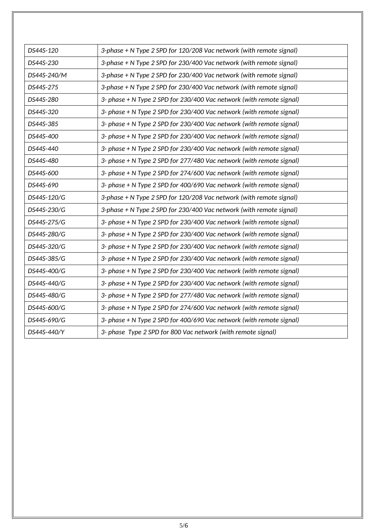| DS44S-120   | 3-phase + N Type 2 SPD for 120/208 Vac network (with remote signal)  |
|-------------|----------------------------------------------------------------------|
| DS44S-230   | 3-phase + N Type 2 SPD for 230/400 Vac network (with remote signal)  |
| DS44S-240/M | 3-phase + N Type 2 SPD for 230/400 Vac network (with remote signal)  |
| DS44S-275   | 3-phase + N Type 2 SPD for 230/400 Vac network (with remote signal)  |
| DS44S-280   | 3- phase + N Type 2 SPD for 230/400 Vac network (with remote signal) |
| DS44S-320   | 3- phase + N Type 2 SPD for 230/400 Vac network (with remote signal) |
| DS44S-385   | 3- phase + N Type 2 SPD for 230/400 Vac network (with remote signal) |
| DS44S-400   | 3- phase + N Type 2 SPD for 230/400 Vac network (with remote signal) |
| DS44S-440   | 3- phase + N Type 2 SPD for 230/400 Vac network (with remote signal) |
| DS44S-480   | 3- phase + N Type 2 SPD for 277/480 Vac network (with remote signal) |
| DS44S-600   | 3- phase + N Type 2 SPD for 274/600 Vac network (with remote signal) |
| DS44S-690   | 3- phase + N Type 2 SPD for 400/690 Vac network (with remote signal) |
| DS44S-120/G | 3-phase + N Type 2 SPD for 120/208 Vac network (with remote signal)  |
| DS44S-230/G | 3-phase + N Type 2 SPD for 230/400 Vac network (with remote signal)  |
| DS44S-275/G | 3- phase + N Type 2 SPD for 230/400 Vac network (with remote signal) |
| DS44S-280/G | 3- phase + N Type 2 SPD for 230/400 Vac network (with remote signal) |
| DS44S-320/G | 3- phase + N Type 2 SPD for 230/400 Vac network (with remote signal) |
| DS44S-385/G | 3- phase + N Type 2 SPD for 230/400 Vac network (with remote signal) |
| DS44S-400/G | 3- phase + N Type 2 SPD for 230/400 Vac network (with remote signal) |
| DS44S-440/G | 3- phase + N Type 2 SPD for 230/400 Vac network (with remote signal) |
| DS44S-480/G | 3- phase + N Type 2 SPD for 277/480 Vac network (with remote signal) |
| DS44S-600/G | 3- phase + N Type 2 SPD for 274/600 Vac network (with remote signal) |
| DS44S-690/G | 3- phase + N Type 2 SPD for 400/690 Vac network (with remote signal) |
| DS44S-440/Y | 3- phase Type 2 SPD for 800 Vac network (with remote signal)         |